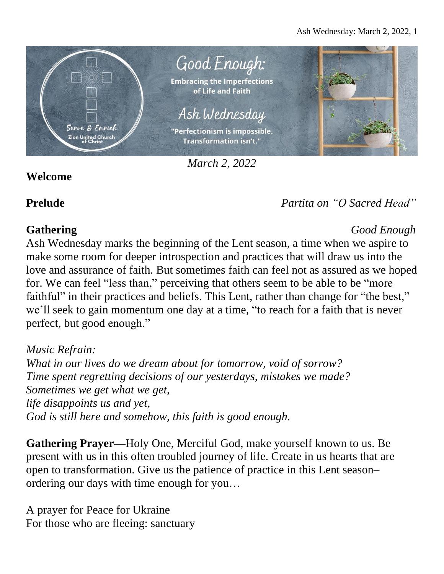

*March 2, 2022*

## **Welcome**

# **Prelude** *Partita on "O Sacred Head"*

### **Gathering** *Good Enough* Ash Wednesday marks the beginning of the Lent season, a time when we aspire to make some room for deeper introspection and practices that will draw us into the love and assurance of faith. But sometimes faith can feel not as assured as we hoped for. We can feel "less than," perceiving that others seem to be able to be "more faithful" in their practices and beliefs. This Lent, rather than change for "the best," we'll seek to gain momentum one day at a time, "to reach for a faith that is never perfect, but good enough."

*Music Refrain: What in our lives do we dream about for tomorrow, void of sorrow? Time spent regretting decisions of our yesterdays, mistakes we made? Sometimes we get what we get, life disappoints us and yet, God is still here and somehow, this faith is good enough.*

**Gathering Prayer—**Holy One, Merciful God, make yourself known to us. Be present with us in this often troubled journey of life. Create in us hearts that are open to transformation. Give us the patience of practice in this Lent season– ordering our days with time enough for you…

A prayer for Peace for Ukraine For those who are fleeing: sanctuary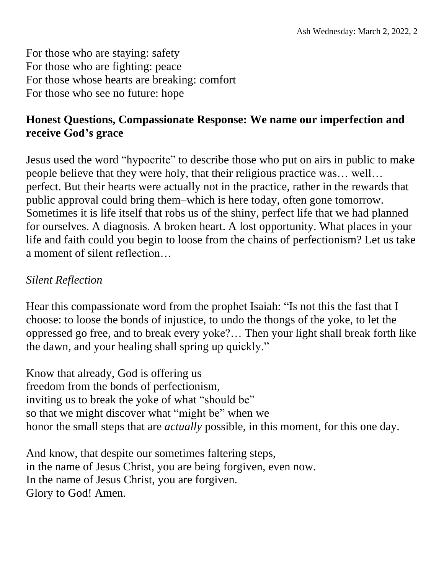For those who are staying: safety For those who are fighting: peace For those whose hearts are breaking: comfort For those who see no future: hope

## **Honest Questions, Compassionate Response: We name our imperfection and receive God's grace**

Jesus used the word "hypocrite" to describe those who put on airs in public to make people believe that they were holy, that their religious practice was… well… perfect. But their hearts were actually not in the practice, rather in the rewards that public approval could bring them–which is here today, often gone tomorrow. Sometimes it is life itself that robs us of the shiny, perfect life that we had planned for ourselves. A diagnosis. A broken heart. A lost opportunity. What places in your life and faith could you begin to loose from the chains of perfectionism? Let us take a moment of silent reflection…

### *Silent Reflection*

Hear this compassionate word from the prophet Isaiah: "Is not this the fast that I choose: to loose the bonds of injustice, to undo the thongs of the yoke, to let the oppressed go free, and to break every yoke?… Then your light shall break forth like the dawn, and your healing shall spring up quickly."

Know that already, God is offering us freedom from the bonds of perfectionism, inviting us to break the yoke of what "should be" so that we might discover what "might be" when we honor the small steps that are *actually* possible, in this moment, for this one day.

And know, that despite our sometimes faltering steps, in the name of Jesus Christ, you are being forgiven, even now. In the name of Jesus Christ, you are forgiven. Glory to God! Amen.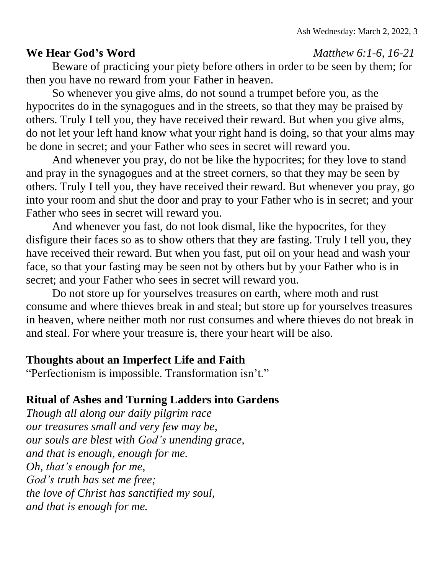### **We Hear God's Word** *Matthew 6:1-6, 16-21*

Beware of practicing your piety before others in order to be seen by them; for then you have no reward from your Father in heaven.

So whenever you give alms, do not sound a trumpet before you, as the hypocrites do in the synagogues and in the streets, so that they may be praised by others. Truly I tell you, they have received their reward. But when you give alms, do not let your left hand know what your right hand is doing, so that your alms may be done in secret; and your Father who sees in secret will reward you.

And whenever you pray, do not be like the hypocrites; for they love to stand and pray in the synagogues and at the street corners, so that they may be seen by others. Truly I tell you, they have received their reward. But whenever you pray, go into your room and shut the door and pray to your Father who is in secret; and your Father who sees in secret will reward you.

And whenever you fast, do not look dismal, like the hypocrites, for they disfigure their faces so as to show others that they are fasting. Truly I tell you, they have received their reward. But when you fast, put oil on your head and wash your face, so that your fasting may be seen not by others but by your Father who is in secret; and your Father who sees in secret will reward you.

Do not store up for yourselves treasures on earth, where moth and rust consume and where thieves break in and steal; but store up for yourselves treasures in heaven, where neither moth nor rust consumes and where thieves do not break in and steal. For where your treasure is, there your heart will be also.

### **Thoughts about an Imperfect Life and Faith**

"Perfectionism is impossible. Transformation isn't."

## **Ritual of Ashes and Turning Ladders into Gardens**

*Though all along our daily pilgrim race our treasures small and very few may be, our souls are blest with God's unending grace, and that is enough, enough for me. Oh, that's enough for me, God's truth has set me free; the love of Christ has sanctified my soul, and that is enough for me.*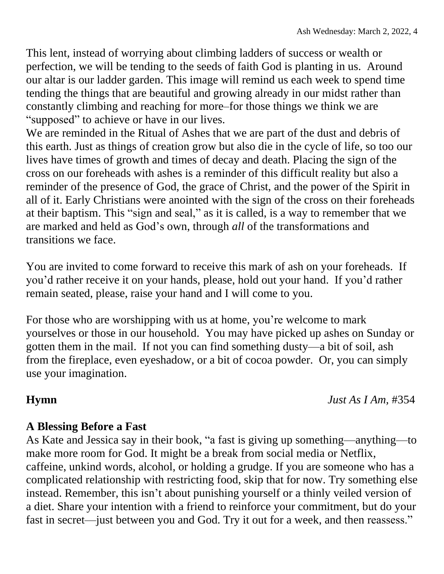This lent, instead of worrying about climbing ladders of success or wealth or perfection, we will be tending to the seeds of faith God is planting in us. Around our altar is our ladder garden. This image will remind us each week to spend time tending the things that are beautiful and growing already in our midst rather than constantly climbing and reaching for more–for those things we think we are "supposed" to achieve or have in our lives.

We are reminded in the Ritual of Ashes that we are part of the dust and debris of this earth. Just as things of creation grow but also die in the cycle of life, so too our lives have times of growth and times of decay and death. Placing the sign of the cross on our foreheads with ashes is a reminder of this difficult reality but also a reminder of the presence of God, the grace of Christ, and the power of the Spirit in all of it. Early Christians were anointed with the sign of the cross on their foreheads at their baptism. This "sign and seal," as it is called, is a way to remember that we are marked and held as God's own, through *all* of the transformations and transitions we face.

You are invited to come forward to receive this mark of ash on your foreheads. If you'd rather receive it on your hands, please, hold out your hand. If you'd rather remain seated, please, raise your hand and I will come to you.

For those who are worshipping with us at home, you're welcome to mark yourselves or those in our household. You may have picked up ashes on Sunday or gotten them in the mail. If not you can find something dusty—a bit of soil, ash from the fireplace, even eyeshadow, or a bit of cocoa powder. Or, you can simply use your imagination.

**Hymn** *Just As I Am,* #354

## **A Blessing Before a Fast**

As Kate and Jessica say in their book, "a fast is giving up something—anything—to make more room for God. It might be a break from social media or Netflix, caffeine, unkind words, alcohol, or holding a grudge. If you are someone who has a complicated relationship with restricting food, skip that for now. Try something else instead. Remember, this isn't about punishing yourself or a thinly veiled version of a diet. Share your intention with a friend to reinforce your commitment, but do your fast in secret—just between you and God. Try it out for a week, and then reassess."